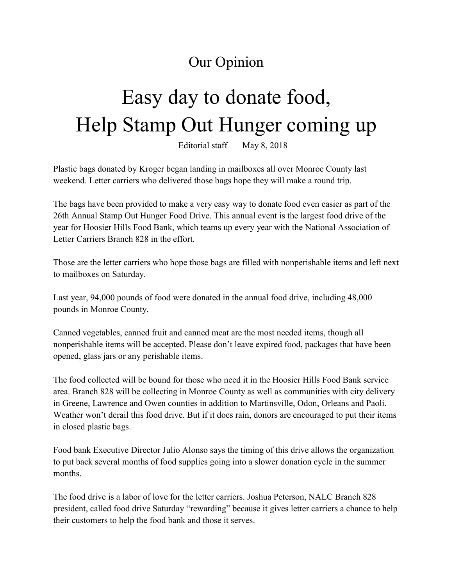## Our Opinion

## Easy day to donate food, Help Stamp Out Hunger coming up

Editorial staff | May 8, 2018

Plastic bags donated by Kroger began landing in mailboxes all over Monroe County last weekend. Letter carriers who delivered those bags hope they will make a round trip.

The bags have been provided to make a very easy way to donate food even easier as part of the 26th Annual Stamp Out Hunger Food Drive. This annual event is the largest food drive of the year for Hoosier Hills Food Bank, which teams up every year with the National Association of Letter Carriers Branch 828 in the effort.

Those are the letter carriers who hope those bags are filled with nonperishable items and left next to mailboxes on Saturday.

Last year, 94,000 pounds of food were donated in the annual food drive, including 48,000 pounds in Monroe County.

Canned vegetables, canned fruit and canned meat are the most needed items, though all nonperishable items will be accepted. Please don't leave expired food, packages that have been opened, glass jars or any perishable items.

The food collected will be bound for those who need it in the Hoosier Hills Food Bank service area. Branch 828 will be collecting in Monroe County as well as communities with city delivery in Greene, Lawrence and Owen counties in addition to Martinsville, Odon, Orleans and Paoli. Weather won't derail this food drive. But if it does rain, donors are encouraged to put their items in closed plastic bags.

Food bank Executive Director Julio Alonso says the timing of this drive allows the organization to put back several months of food supplies going into a slower donation cycle in the summer months.

The food drive is a labor of love for the letter carriers. Joshua Peterson, NALC Branch 828 president, called food drive Saturday "rewarding" because it gives letter carriers a chance to help their customers to help the food bank and those it serves.